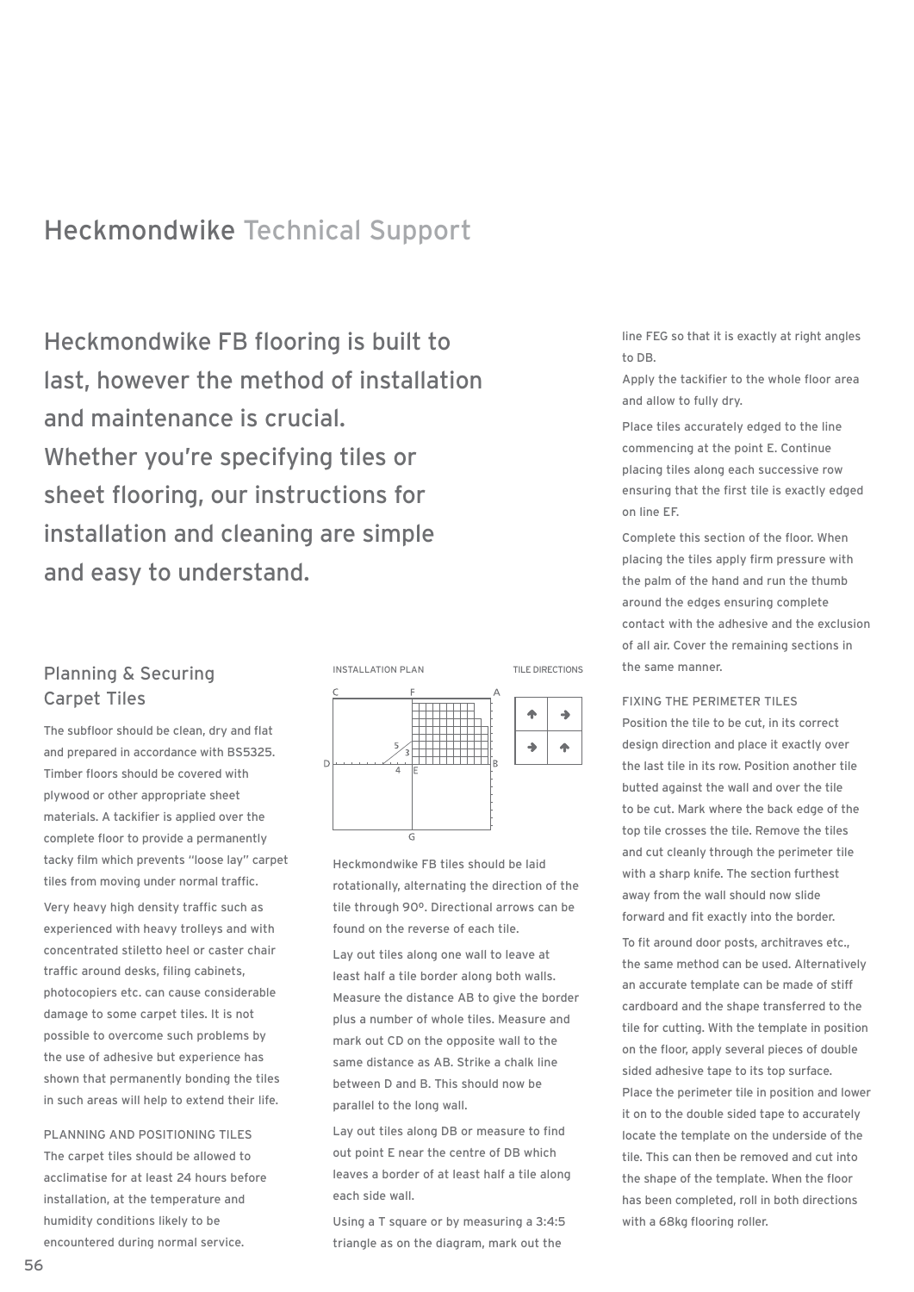# Heckmondwike Technical Support

Heckmondwike FB flooring is built to last, however the method of installation and maintenance is crucial. Whether you're specifying tiles or sheet flooring, our instructions for installation and cleaning are simple and easy to understand.

## Planning & Securing Carpet Tiles

The subfloor should be clean, dry and flat and prepared in accordance with BS5325. Timber floors should be covered with plywood or other appropriate sheet materials. A tackifier is applied over the complete floor to provide a permanently tacky film which prevents "loose lay" carpet tiles from moving under normal traffic.

Very heavy high density traffic such as experienced with heavy trolleys and with concentrated stiletto heel or caster chair traffic around desks, filing cabinets, photocopiers etc. can cause considerable damage to some carpet tiles. It is not possible to overcome such problems by the use of adhesive but experience has shown that permanently bonding the tiles in such areas will help to extend their life.

PLANNING AND POSITIONING TILES The carpet tiles should be allowed to acclimatise for at least 24 hours before installation, at the temperature and humidity conditions likely to be encountered during normal service.



Heckmondwike FB tiles should be laid rotationally, alternating the direction of the tile through 90º. Directional arrows can be found on the reverse of each tile.

Lay out tiles along one wall to leave at least half a tile border along both walls. Measure the distance AB to give the border plus a number of whole tiles. Measure and mark out CD on the opposite wall to the same distance as AB. Strike a chalk line between D and B. This should now be parallel to the long wall.

Lay out tiles along DB or measure to find out point E near the centre of DB which leaves a border of at least half a tile along each side wall.

Using a T square or by measuring a 3:4:5 triangle as on the diagram, mark out the

line FEG so that it is exactly at right angles to DB.

Apply the tackifier to the whole floor area and allow to fully dry.

Place tiles accurately edged to the line commencing at the point E. Continue placing tiles along each successive row ensuring that the first tile is exactly edged on line EF.

Complete this section of the floor. When placing the tiles apply firm pressure with the palm of the hand and run the thumb around the edges ensuring complete contact with the adhesive and the exclusion of all air. Cover the remaining sections in the same manner.

### FIXING THE PERIMETER TILES

Position the tile to be cut, in its correct design direction and place it exactly over the last tile in its row. Position another tile butted against the wall and over the tile to be cut. Mark where the back edge of the top tile crosses the tile. Remove the tiles and cut cleanly through the perimeter tile with a sharp knife. The section furthest away from the wall should now slide forward and fit exactly into the border.

To fit around door posts, architraves etc., the same method can be used. Alternatively an accurate template can be made of stiff cardboard and the shape transferred to the tile for cutting. With the template in position on the floor, apply several pieces of double sided adhesive tape to its top surface. Place the perimeter tile in position and lower it on to the double sided tape to accurately locate the template on the underside of the tile. This can then be removed and cut into the shape of the template. When the floor has been completed, roll in both directions with a 68kg flooring roller.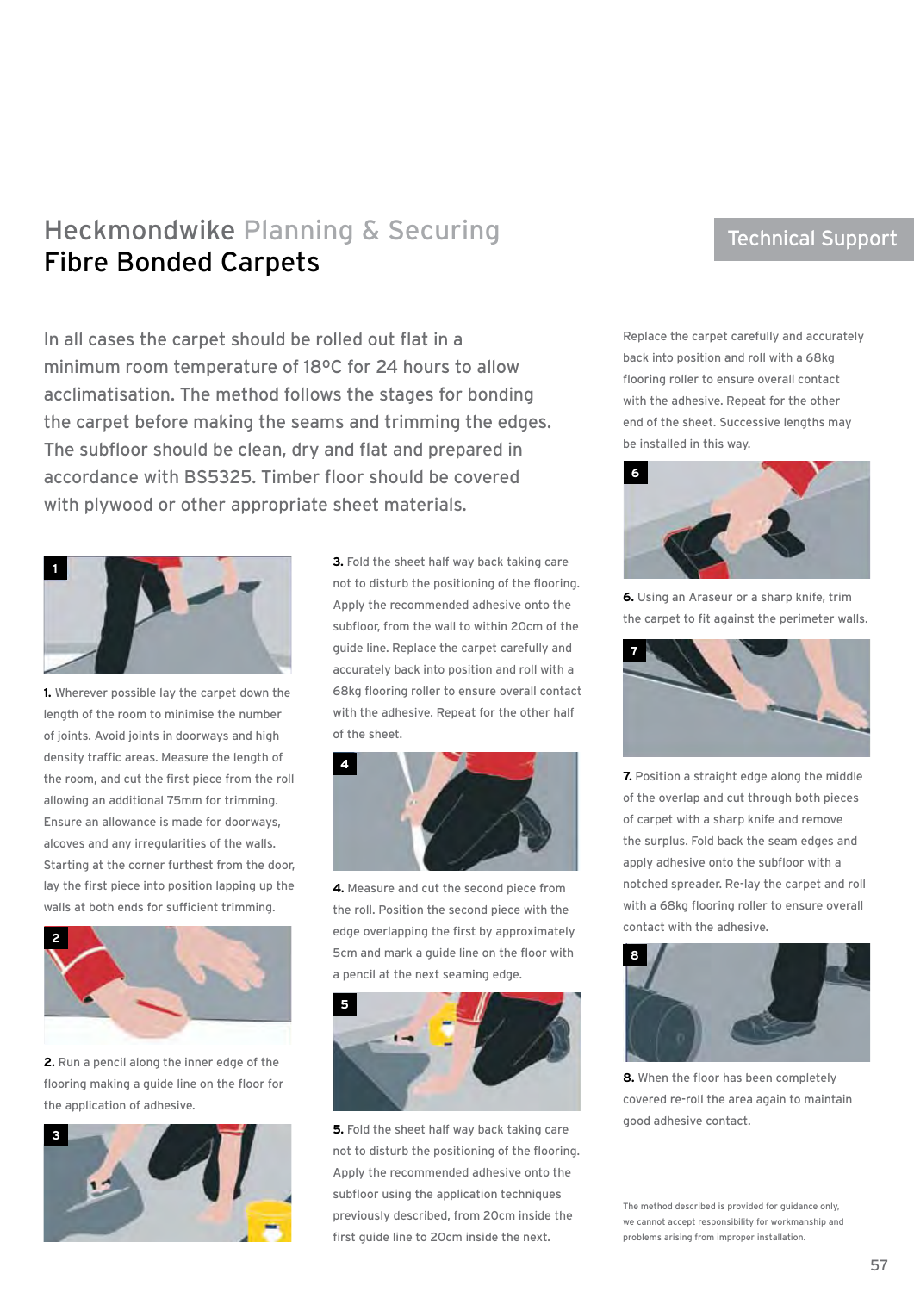# Heckmondwike Planning & Securing Fibre Bonded Carpets

In all cases the carpet should be rolled out flat in a minimum room temperature of 18ºC for 24 hours to allow acclimatisation. The method follows the stages for bonding the carpet before making the seams and trimming the edges. The subfloor should be clean, dry and flat and prepared in accordance with BS5325. Timber floor should be covered with plywood or other appropriate sheet materials.



**1.** Wherever possible lay the carpet down the length of the room to minimise the number of joints. Avoid joints in doorways and high density traffic areas. Measure the length of the room, and cut the first piece from the roll allowing an additional 75mm for trimming. Ensure an allowance is made for doorways, alcoves and any irregularities of the walls. Starting at the corner furthest from the door, lay the first piece into position lapping up the walls at both ends for sufficient trimming.



**2.** Run a pencil along the inner edge of the flooring making a guide line on the floor for the application of adhesive.



**3.** Fold the sheet half way back taking care not to disturb the positioning of the flooring. Apply the recommended adhesive onto the subfloor, from the wall to within 20cm of the guide line. Replace the carpet carefully and accurately back into position and roll with a 68kg flooring roller to ensure overall contact with the adhesive. Repeat for the other half of the sheet.



**4.** Measure and cut the second piece from the roll. Position the second piece with the edge overlapping the first by approximately 5cm and mark a guide line on the floor with a pencil at the next seaming edge.



**5.** Fold the sheet half way back taking care not to disturb the positioning of the flooring. Apply the recommended adhesive onto the subfloor using the application techniques previously described, from 20cm inside the first guide line to 20cm inside the next.

# Technical Support

Replace the carpet carefully and accurately back into position and roll with a 68kg flooring roller to ensure overall contact with the adhesive. Repeat for the other end of the sheet. Successive lengths may be installed in this way.



**6.** Using an Araseur or a sharp knife, trim the carpet to fit against the perimeter walls.



**7.** Position a straight edge along the middle of the overlap and cut through both pieces of carpet with a sharp knife and remove the surplus. Fold back the seam edges and apply adhesive onto the subfloor with a notched spreader. Re-lay the carpet and roll with a 68kg flooring roller to ensure overall contact with the adhesive.



**8.** When the floor has been completely covered re-roll the area again to maintain good adhesive contact.

The method described is provided for guidance only, we cannot accept responsibility for workmanship and problems arising from improper installation.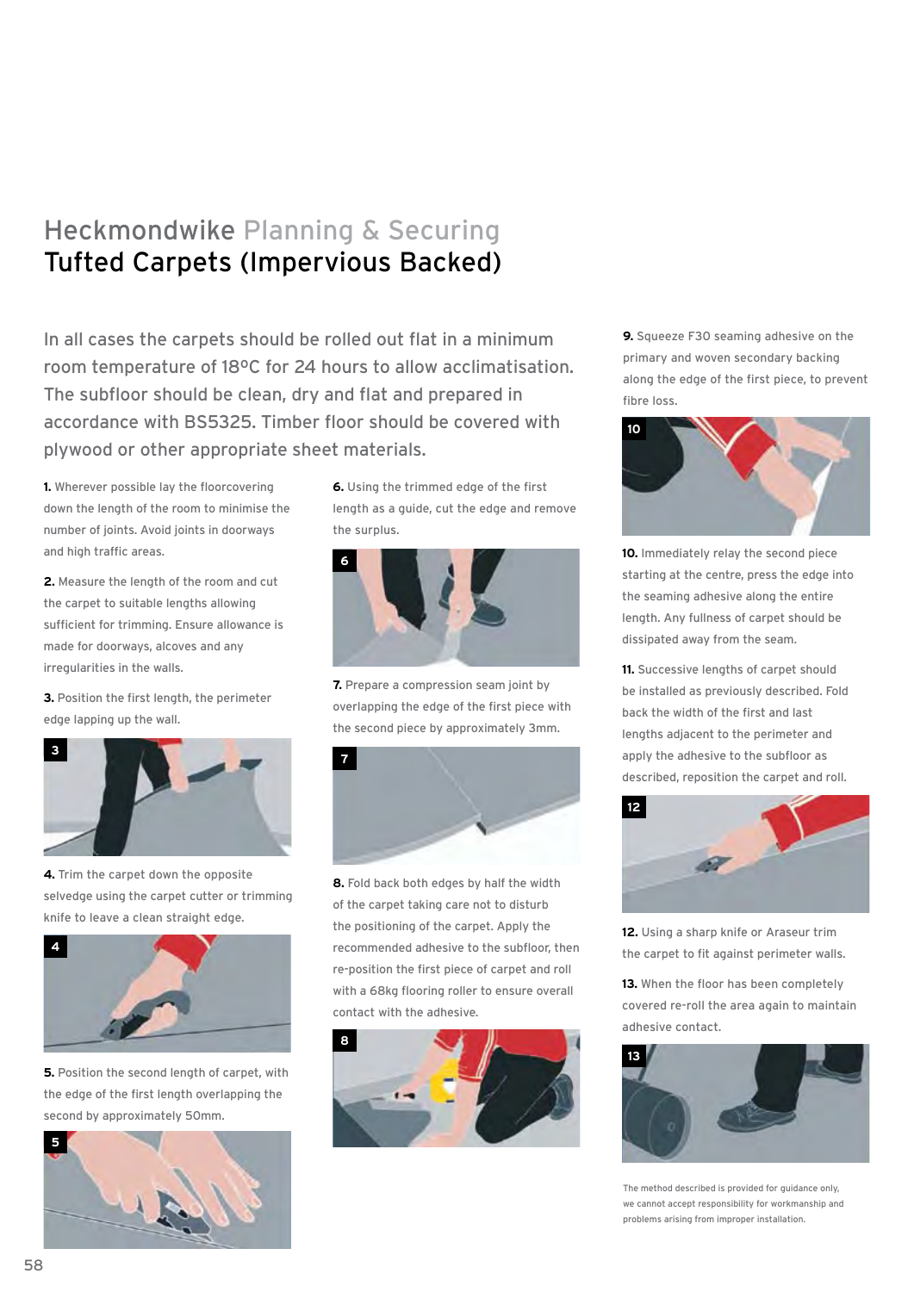# Heckmondwike Planning & Securing Tufted Carpets (Impervious Backed)

In all cases the carpets should be rolled out flat in a minimum room temperature of 18ºC for 24 hours to allow acclimatisation. The subfloor should be clean, dry and flat and prepared in accordance with BS5325. Timber floor should be covered with plywood or other appropriate sheet materials.

**1.** Wherever possible lay the floorcovering down the length of the room to minimise the number of joints. Avoid joints in doorways and high traffic areas.

**2.** Measure the length of the room and cut the carpet to suitable lengths allowing sufficient for trimming. Ensure allowance is made for doorways, alcoves and any irregularities in the walls.

**3.** Position the first length, the perimeter edge lapping up the wall.



**4.** Trim the carpet down the opposite selvedge using the carpet cutter or trimming knife to leave a clean straight edge.



**5.** Position the second length of carpet, with the edge of the first length overlapping the second by approximately 50mm.



**6.** Using the trimmed edge of the first length as a guide, cut the edge and remove the surplus.



**7.** Prepare a compression seam joint by overlapping the edge of the first piece with the second piece by approximately 3mm.



**8.** Fold back both edges by half the width of the carpet taking care not to disturb the positioning of the carpet. Apply the recommended adhesive to the subfloor, then re-position the first piece of carpet and roll with a 68kg flooring roller to ensure overall contact with the adhesive.



**9.** Squeeze F30 seaming adhesive on the primary and woven secondary backing along the edge of the first piece, to prevent fibre loss.



**10.** Immediately relay the second piece starting at the centre, press the edge into the seaming adhesive along the entire length. Any fullness of carpet should be dissipated away from the seam.

**11.** Successive lengths of carpet should be installed as previously described. Fold back the width of the first and last lengths adjacent to the perimeter and apply the adhesive to the subfloor as described, reposition the carpet and roll.



**12.** Using a sharp knife or Araseur trim the carpet to fit against perimeter walls.

**13.** When the floor has been completely covered re-roll the area again to maintain adhesive contact.



The method described is provided for guidance only, we cannot accept responsibility for workmanship and problems arising from improper installation.